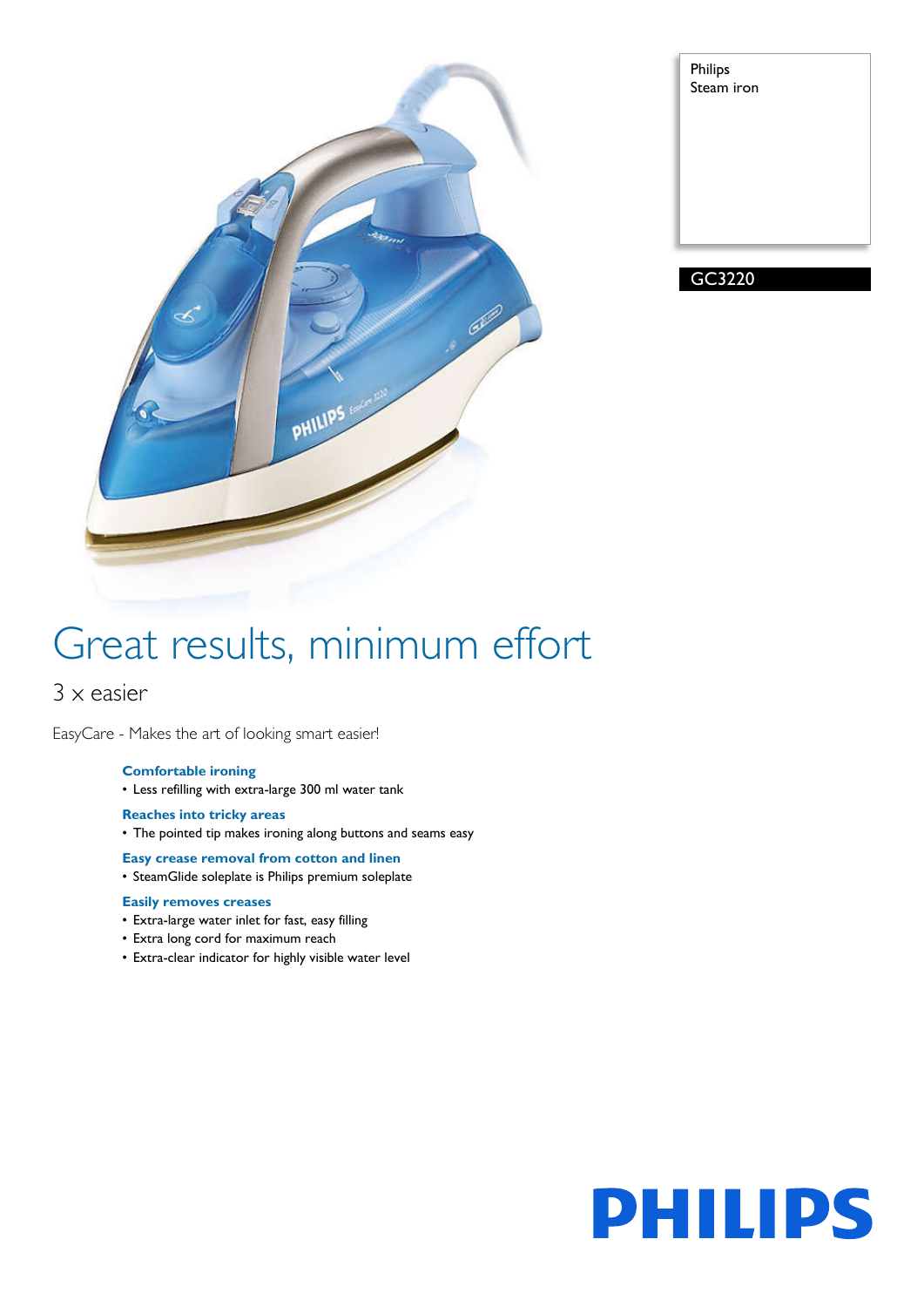

| Philips<br>Steam iron |  |
|-----------------------|--|
|                       |  |
|                       |  |
|                       |  |

GC3220

# Great results, minimum effort

## 3 x easier

EasyCare - Makes the art of looking smart easier!

### **Comfortable ironing**

• Less refilling with extra-large 300 ml water tank

#### **Reaches into tricky areas**

• The pointed tip makes ironing along buttons and seams easy

#### **Easy crease removal from cotton and linen**

• SteamGlide soleplate is Philips premium soleplate

#### **Easily removes creases**

- Extra-large water inlet for fast, easy filling
- Extra long cord for maximum reach
- Extra-clear indicator for highly visible water level